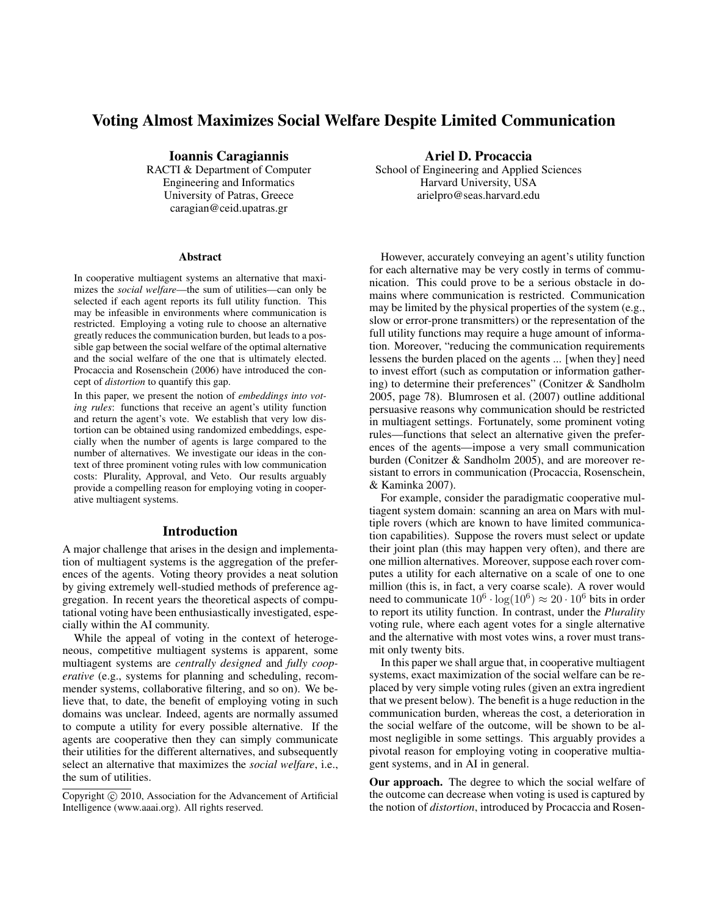# Voting Almost Maximizes Social Welfare Despite Limited Communication

Ioannis Caragiannis

RACTI & Department of Computer Engineering and Informatics University of Patras, Greece caragian@ceid.upatras.gr

#### Abstract

In cooperative multiagent systems an alternative that maximizes the *social welfare*—the sum of utilities—can only be selected if each agent reports its full utility function. This may be infeasible in environments where communication is restricted. Employing a voting rule to choose an alternative greatly reduces the communication burden, but leads to a possible gap between the social welfare of the optimal alternative and the social welfare of the one that is ultimately elected. Procaccia and Rosenschein (2006) have introduced the concept of *distortion* to quantify this gap.

In this paper, we present the notion of *embeddings into voting rules*: functions that receive an agent's utility function and return the agent's vote. We establish that very low distortion can be obtained using randomized embeddings, especially when the number of agents is large compared to the number of alternatives. We investigate our ideas in the context of three prominent voting rules with low communication costs: Plurality, Approval, and Veto. Our results arguably provide a compelling reason for employing voting in cooperative multiagent systems.

#### Introduction

A major challenge that arises in the design and implementation of multiagent systems is the aggregation of the preferences of the agents. Voting theory provides a neat solution by giving extremely well-studied methods of preference aggregation. In recent years the theoretical aspects of computational voting have been enthusiastically investigated, especially within the AI community.

While the appeal of voting in the context of heterogeneous, competitive multiagent systems is apparent, some multiagent systems are *centrally designed* and *fully cooperative* (e.g., systems for planning and scheduling, recommender systems, collaborative filtering, and so on). We believe that, to date, the benefit of employing voting in such domains was unclear. Indeed, agents are normally assumed to compute a utility for every possible alternative. If the agents are cooperative then they can simply communicate their utilities for the different alternatives, and subsequently select an alternative that maximizes the *social welfare*, i.e., the sum of utilities.

Ariel D. Procaccia

School of Engineering and Applied Sciences Harvard University, USA arielpro@seas.harvard.edu

However, accurately conveying an agent's utility function for each alternative may be very costly in terms of communication. This could prove to be a serious obstacle in domains where communication is restricted. Communication may be limited by the physical properties of the system (e.g., slow or error-prone transmitters) or the representation of the full utility functions may require a huge amount of information. Moreover, "reducing the communication requirements lessens the burden placed on the agents ... [when they] need to invest effort (such as computation or information gathering) to determine their preferences" (Conitzer & Sandholm 2005, page 78). Blumrosen et al. (2007) outline additional persuasive reasons why communication should be restricted in multiagent settings. Fortunately, some prominent voting rules—functions that select an alternative given the preferences of the agents—impose a very small communication burden (Conitzer & Sandholm 2005), and are moreover resistant to errors in communication (Procaccia, Rosenschein, & Kaminka 2007).

For example, consider the paradigmatic cooperative multiagent system domain: scanning an area on Mars with multiple rovers (which are known to have limited communication capabilities). Suppose the rovers must select or update their joint plan (this may happen very often), and there are one million alternatives. Moreover, suppose each rover computes a utility for each alternative on a scale of one to one million (this is, in fact, a very coarse scale). A rover would need to communicate  $10^6 \cdot \log(10^6) \approx 20 \cdot 10^6$  bits in order to report its utility function. In contrast, under the *Plurality* voting rule, where each agent votes for a single alternative and the alternative with most votes wins, a rover must transmit only twenty bits.

In this paper we shall argue that, in cooperative multiagent systems, exact maximization of the social welfare can be replaced by very simple voting rules (given an extra ingredient that we present below). The benefit is a huge reduction in the communication burden, whereas the cost, a deterioration in the social welfare of the outcome, will be shown to be almost negligible in some settings. This arguably provides a pivotal reason for employing voting in cooperative multiagent systems, and in AI in general.

Our approach. The degree to which the social welfare of the outcome can decrease when voting is used is captured by the notion of *distortion*, introduced by Procaccia and Rosen-

Copyright  $\odot$  2010, Association for the Advancement of Artificial Intelligence (www.aaai.org). All rights reserved.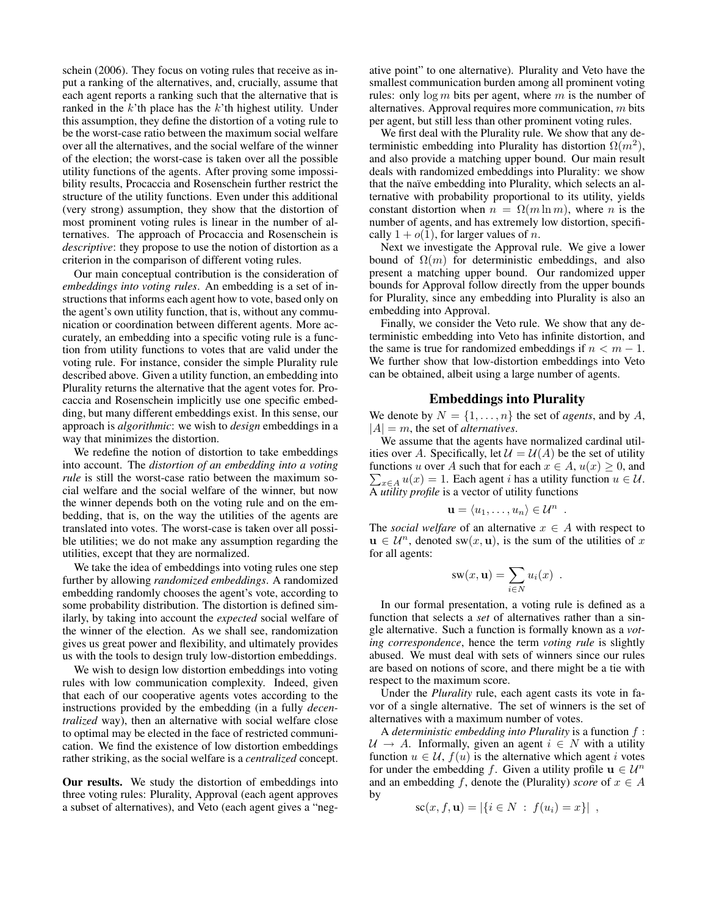schein (2006). They focus on voting rules that receive as input a ranking of the alternatives, and, crucially, assume that each agent reports a ranking such that the alternative that is ranked in the  $k$ 'th place has the  $k$ 'th highest utility. Under this assumption, they define the distortion of a voting rule to be the worst-case ratio between the maximum social welfare over all the alternatives, and the social welfare of the winner of the election; the worst-case is taken over all the possible utility functions of the agents. After proving some impossibility results, Procaccia and Rosenschein further restrict the structure of the utility functions. Even under this additional (very strong) assumption, they show that the distortion of most prominent voting rules is linear in the number of alternatives. The approach of Procaccia and Rosenschein is *descriptive*: they propose to use the notion of distortion as a criterion in the comparison of different voting rules.

Our main conceptual contribution is the consideration of *embeddings into voting rules*. An embedding is a set of instructions that informs each agent how to vote, based only on the agent's own utility function, that is, without any communication or coordination between different agents. More accurately, an embedding into a specific voting rule is a function from utility functions to votes that are valid under the voting rule. For instance, consider the simple Plurality rule described above. Given a utility function, an embedding into Plurality returns the alternative that the agent votes for. Procaccia and Rosenschein implicitly use one specific embedding, but many different embeddings exist. In this sense, our approach is *algorithmic*: we wish to *design* embeddings in a way that minimizes the distortion.

We redefine the notion of distortion to take embeddings into account. The *distortion of an embedding into a voting rule* is still the worst-case ratio between the maximum social welfare and the social welfare of the winner, but now the winner depends both on the voting rule and on the embedding, that is, on the way the utilities of the agents are translated into votes. The worst-case is taken over all possible utilities; we do not make any assumption regarding the utilities, except that they are normalized.

We take the idea of embeddings into voting rules one step further by allowing *randomized embeddings*. A randomized embedding randomly chooses the agent's vote, according to some probability distribution. The distortion is defined similarly, by taking into account the *expected* social welfare of the winner of the election. As we shall see, randomization gives us great power and flexibility, and ultimately provides us with the tools to design truly low-distortion embeddings.

We wish to design low distortion embeddings into voting rules with low communication complexity. Indeed, given that each of our cooperative agents votes according to the instructions provided by the embedding (in a fully *decentralized* way), then an alternative with social welfare close to optimal may be elected in the face of restricted communication. We find the existence of low distortion embeddings rather striking, as the social welfare is a *centralized* concept.

Our results. We study the distortion of embeddings into three voting rules: Plurality, Approval (each agent approves a subset of alternatives), and Veto (each agent gives a "neg-

ative point" to one alternative). Plurality and Veto have the smallest communication burden among all prominent voting rules: only  $\log m$  bits per agent, where m is the number of alternatives. Approval requires more communication, m bits per agent, but still less than other prominent voting rules.

We first deal with the Plurality rule. We show that any deterministic embedding into Plurality has distortion  $\Omega(m^2)$ , and also provide a matching upper bound. Our main result deals with randomized embeddings into Plurality: we show that the naïve embedding into Plurality, which selects an alternative with probability proportional to its utility, yields constant distortion when  $n = \Omega(m \ln m)$ , where *n* is the number of agents, and has extremely low distortion, specifically  $1 + o(1)$ , for larger values of *n*.

Next we investigate the Approval rule. We give a lower bound of  $\Omega(m)$  for deterministic embeddings, and also present a matching upper bound. Our randomized upper bounds for Approval follow directly from the upper bounds for Plurality, since any embedding into Plurality is also an embedding into Approval.

Finally, we consider the Veto rule. We show that any deterministic embedding into Veto has infinite distortion, and the same is true for randomized embeddings if  $n < m - 1$ . We further show that low-distortion embeddings into Veto can be obtained, albeit using a large number of agents.

# Embeddings into Plurality

We denote by  $N = \{1, \ldots, n\}$  the set of *agents*, and by A,  $|A| = m$ , the set of *alternatives*.

We assume that the agents have normalized cardinal utilities over A. Specifically, let  $\mathcal{U} = \mathcal{U}(A)$  be the set of utility functions u over A such that for each  $x \in A$ ,  $u(x) \geq 0$ , and  $\sum_{x \in A} u(x) = 1$ . Each agent *i* has a utility function  $u \in \mathcal{U}$ . A *utility profile* is a vector of utility functions

$$
\mathbf{u} = \langle u_1, \ldots, u_n \rangle \in \mathcal{U}^n .
$$

The *social welfare* of an alternative  $x \in A$  with respect to  $u \in \mathcal{U}^n$ , denoted sw $(x, u)$ , is the sum of the utilities of x for all agents:

$$
sw(x, \mathbf{u}) = \sum_{i \in N} u_i(x) .
$$

In our formal presentation, a voting rule is defined as a function that selects a *set* of alternatives rather than a single alternative. Such a function is formally known as a *voting correspondence*, hence the term *voting rule* is slightly abused. We must deal with sets of winners since our rules are based on notions of score, and there might be a tie with respect to the maximum score.

Under the *Plurality* rule, each agent casts its vote in favor of a single alternative. The set of winners is the set of alternatives with a maximum number of votes.

A *deterministic embedding into Plurality* is a function f :  $U \rightarrow A$ . Informally, given an agent  $i \in N$  with a utility function  $u \in \mathcal{U}$ ,  $f(u)$  is the alternative which agent i votes for under the embedding f. Given a utility profile  $\mathbf{u} \in \mathcal{U}^n$ and an embedding f, denote the (Plurality) *score* of  $x \in A$ by

$$
sc(x, f, \mathbf{u}) = |\{i \in N : f(u_i) = x\}|,
$$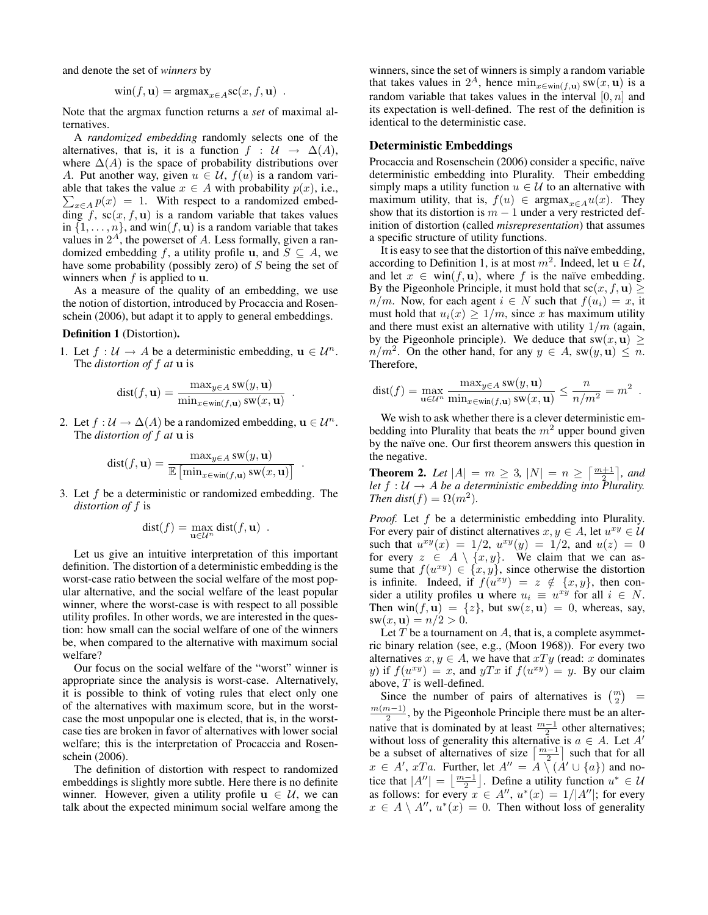and denote the set of *winners* by

$$
win(f, \mathbf{u}) = \text{argmax}_{x \in A} sc(x, f, \mathbf{u}) \enspace .
$$

Note that the argmax function returns a *set* of maximal alternatives.

A *randomized embedding* randomly selects one of the alternatives, that is, it is a function  $f : U \to \Delta(A)$ , where  $\Delta(A)$  is the space of probability distributions over A. Put another way, given  $u \in \mathcal{U}$ ,  $f(u)$  is a random vari- $\sum_{x \in A} p(x) = 1$ . With respect to a randomized embedable that takes the value  $x \in A$  with probability  $p(x)$ , i.e., ding f,  $sc(x, f, u)$  is a random variable that takes values in  $\{1, \ldots, n\}$ , and win $(f, \mathbf{u})$  is a random variable that takes values in  $2<sup>A</sup>$ , the powerset of A. Less formally, given a randomized embedding f, a utility profile u, and  $S \subseteq A$ , we have some probability (possibly zero) of S being the set of winners when  $f$  is applied to  $\mathbf{u}$ .

As a measure of the quality of an embedding, we use the notion of distortion, introduced by Procaccia and Rosenschein (2006), but adapt it to apply to general embeddings.

#### Definition 1 (Distortion).

1. Let  $f : U \to A$  be a deterministic embedding,  $\mathbf{u} \in \mathcal{U}^n$ . The *distortion of* f *at* u is

$$
dist(f, \mathbf{u}) = \frac{\max_{y \in A} sw(y, \mathbf{u})}{\min_{x \in win(f, \mathbf{u})} sw(x, \mathbf{u})}
$$

.

2. Let  $f : \mathcal{U} \to \Delta(A)$  be a randomized embedding,  $\mathbf{u} \in \mathcal{U}^n$ . The *distortion of* f *at* u is

$$
dist(f, \mathbf{u}) = \frac{\max_{y \in A} sw(y, \mathbf{u})}{\mathbb{E} [\min_{x \in win(f, \mathbf{u})} sw(x, \mathbf{u})]}.
$$

3. Let f be a deterministic or randomized embedding. The *distortion of* f is

$$
dist(f) = \max_{\mathbf{u} \in \mathcal{U}^n} dist(f, \mathbf{u}) \enspace .
$$

Let us give an intuitive interpretation of this important definition. The distortion of a deterministic embedding is the worst-case ratio between the social welfare of the most popular alternative, and the social welfare of the least popular winner, where the worst-case is with respect to all possible utility profiles. In other words, we are interested in the question: how small can the social welfare of one of the winners be, when compared to the alternative with maximum social welfare?

Our focus on the social welfare of the "worst" winner is appropriate since the analysis is worst-case. Alternatively, it is possible to think of voting rules that elect only one of the alternatives with maximum score, but in the worstcase the most unpopular one is elected, that is, in the worstcase ties are broken in favor of alternatives with lower social welfare; this is the interpretation of Procaccia and Rosenschein (2006).

The definition of distortion with respect to randomized embeddings is slightly more subtle. Here there is no definite winner. However, given a utility profile  $u \in U$ , we can talk about the expected minimum social welfare among the

winners, since the set of winners is simply a random variable that takes values in  $2^A$ , hence  $\min_{x \in \text{win}(f, \mathbf{u})} \text{sw}(x, \mathbf{u})$  is a random variable that takes values in the interval  $[0, n]$  and its expectation is well-defined. The rest of the definition is identical to the deterministic case.

## Deterministic Embeddings

Procaccia and Rosenschein (2006) consider a specific, naïve deterministic embedding into Plurality. Their embedding simply maps a utility function  $u \in \mathcal{U}$  to an alternative with maximum utility, that is,  $f(u) \in \text{argmax}_{x \in A} u(x)$ . They show that its distortion is  $m - 1$  under a very restricted definition of distortion (called *misrepresentation*) that assumes a specific structure of utility functions.

It is easy to see that the distortion of this naïve embedding, according to Definition 1, is at most  $m^2$ . Indeed, let  $\mathbf{u} \in \mathcal{U}$ , and let  $x \in \text{win}(f, \mathbf{u})$ , where f is the naïve embedding. By the Pigeonhole Principle, it must hold that  $\mathrm{sc}(x, f, \mathbf{u}) \geq 0$  $n/m$ . Now, for each agent  $i \in N$  such that  $f(u_i) = x$ , it must hold that  $u_i(x) \geq 1/m$ , since x has maximum utility and there must exist an alternative with utility  $1/m$  (again, by the Pigeonhole principle). We deduce that  $sw(x, u) \ge$  $n/m^2$ . On the other hand, for any  $y \in A$ , sw $(y, \mathbf{u}) \leq n$ . Therefore,

$$
dist(f) = \max_{\mathbf{u} \in \mathcal{U}^n} \frac{\max_{y \in A} sw(y, \mathbf{u})}{\min_{x \in win(f, \mathbf{u})} sw(x, \mathbf{u})} \le \frac{n}{n/m^2} = m^2.
$$

We wish to ask whether there is a clever deterministic embedding into Plurality that beats the  $m<sup>2</sup>$  upper bound given by the naïve one. Our first theorem answers this question in the negative.

**Theorem 2.** Let  $|A| = m \ge 3$ ,  $|N| = n \ge \left\lceil \frac{m+1}{2} \right\rceil$ , and *let*  $f : U \to A$  *be a deterministic embedding into Plurality. Then dist*( $f$ ) =  $\Omega(m^2)$ *.* 

*Proof.* Let f be a deterministic embedding into Plurality. For every pair of distinct alternatives  $x, y \in A$ , let  $u^{xy} \in \mathcal{U}$ such that  $u^{xy}(x) = 1/2$ ,  $u^{xy}(y) = 1/2$ , and  $u(z) = 0$ for every  $z \in A \setminus \{x, y\}$ . We claim that we can assume that  $f(u^{xy}) \in \{x, y\}$ , since otherwise the distortion is infinite. Indeed, if  $f(u^{xy}) = z \notin \{x, y\}$ , then consider a utility profiles u where  $u_i \equiv u^{xy}$  for all  $i \in N$ . Then  $\text{win}(f, \mathbf{u}) = \{z\}$ , but  $\text{sw}(z, \mathbf{u}) = 0$ , whereas, say,  $sw(x, u) = n/2 > 0.$ 

Let  $T$  be a tournament on  $A$ , that is, a complete asymmetric binary relation (see, e.g., (Moon 1968)). For every two alternatives  $x, y \in A$ , we have that  $xTy$  (read: x dominates y) if  $f(u^{xy}) = x$ , and  $yTx$  if  $f(u^{xy}) = y$ . By our claim above, T is well-defined.

Since the number of pairs of alternatives is  $\binom{m}{2}$  =  $m(m-1)$  $\frac{n-1}{2}$ , by the Pigeonhole Principle there must be an alternative that is dominated by at least  $\frac{m-1}{2}$  other alternatives; without loss of generality this alternative is  $a \in A$ . Let A' be a subset of alternatives of size  $\left\lceil \frac{m-1}{2} \right\rceil$  such that for all  $x \in A'$ , xTa. Further, let  $A'' = A \setminus (A' \cup \{a\})$  and notice that  $|A''| = \left\lfloor \frac{m-1}{2} \right\rfloor$ . Define a utility function  $u^* \in \mathcal{U}$ as follows: for every  $x \in A''$ ,  $u^*(x) = 1/|A''|$ ; for every  $x \in A \setminus A''$ ,  $u^*(x) = 0$ . Then without loss of generality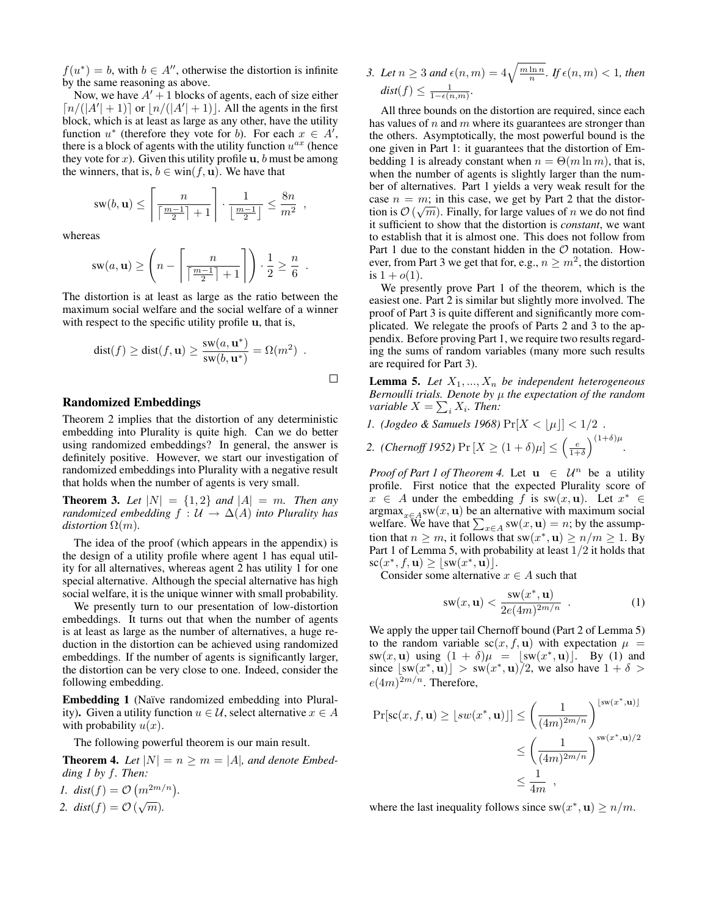$f(u^*) = b$ , with  $b \in A''$ , otherwise the distortion is infinite by the same reasoning as above.

Now, we have  $A' + 1$  blocks of agents, each of size either  $\lceil n/(|A'|+1)\rceil$  or  $\lfloor n/(|A'|+1)\rfloor$ . All the agents in the first block, which is at least as large as any other, have the utility function  $u^*$  (therefore they vote for b). For each  $x \in A^i$ , there is a block of agents with the utility function  $u^{ax}$  (hence they vote for x). Given this utility profile  $\mathbf{u}$ , b must be among the winners, that is,  $b \in \text{win}(f, \mathbf{u})$ . We have that

$$
sw(b, \mathbf{u}) \le \left\lceil \frac{n}{\left\lceil \frac{m-1}{2} \right\rceil + 1} \right\rceil \cdot \frac{1}{\left\lfloor \frac{m-1}{2} \right\rfloor} \le \frac{8n}{m^2}
$$

,

.

 $\Box$ 

whereas

$$
sw(a, \mathbf{u}) \ge \left(n - \left\lceil \frac{n}{\left\lceil \frac{m-1}{2} \right\rceil + 1} \right\rceil \right) \cdot \frac{1}{2} \ge \frac{n}{6}
$$

The distortion is at least as large as the ratio between the maximum social welfare and the social welfare of a winner with respect to the specific utility profile u, that is,

$$
dist(f) \geq dist(f, \mathbf{u}) \geq \frac{sw(a, \mathbf{u}^*)}{sw(b, \mathbf{u}^*)} = \Omega(m^2) .
$$

#### Randomized Embeddings

Theorem 2 implies that the distortion of any deterministic embedding into Plurality is quite high. Can we do better using randomized embeddings? In general, the answer is definitely positive. However, we start our investigation of randomized embeddings into Plurality with a negative result that holds when the number of agents is very small.

**Theorem 3.** Let  $|N| = \{1, 2\}$  and  $|A| = m$ . Then any *randomized embedding*  $f : U \to \Delta(A)$  *into Plurality has distortion*  $\Omega(m)$ *.* 

The idea of the proof (which appears in the appendix) is the design of a utility profile where agent 1 has equal utility for all alternatives, whereas agent 2 has utility 1 for one special alternative. Although the special alternative has high social welfare, it is the unique winner with small probability.

We presently turn to our presentation of low-distortion embeddings. It turns out that when the number of agents is at least as large as the number of alternatives, a huge reduction in the distortion can be achieved using randomized embeddings. If the number of agents is significantly larger, the distortion can be very close to one. Indeed, consider the following embedding.

Embedding 1 (Naïve randomized embedding into Plurality). Given a utility function  $u \in \mathcal{U}$ , select alternative  $x \in A$ with probability  $u(x)$ .

The following powerful theorem is our main result.

**Theorem 4.** Let  $|N| = n \ge m = |A|$ , and denote Embed*ding 1 by* f*. Then:*

*1.*  $dist(f) = O(m^{2m/n}).$ 2.  $dist(f) = O(\sqrt{m}).$ 

3. Let  $n \geq 3$  and  $\epsilon(n,m) = 4\sqrt{\frac{m \ln n}{n}}$ . If  $\epsilon(n,m) < 1$ , then  $dist(f) \leq \frac{1}{1-\epsilon(n,m)}.$ 

All three bounds on the distortion are required, since each has values of  $n$  and  $m$  where its guarantees are stronger than the others. Asymptotically, the most powerful bound is the one given in Part 1: it guarantees that the distortion of Embedding 1 is already constant when  $n = \Theta(m \ln m)$ , that is, when the number of agents is slightly larger than the number of alternatives. Part 1 yields a very weak result for the case  $n = m$ ; in this case, we get by Part 2 that the distortion is  $\mathcal{O}\left(\sqrt{m}\right)$ . Finally, for large values of  $n$  we do not find it sufficient to show that the distortion is *constant*, we want to establish that it is almost one. This does not follow from Part 1 due to the constant hidden in the  $\mathcal O$  notation. However, from Part 3 we get that for, e.g.,  $n \geq m^2$ , the distortion is  $1 + o(1)$ .

We presently prove Part 1 of the theorem, which is the easiest one. Part 2 is similar but slightly more involved. The proof of Part 3 is quite different and significantly more complicated. We relegate the proofs of Parts 2 and 3 to the appendix. Before proving Part 1, we require two results regarding the sums of random variables (many more such results are required for Part 3).

**Lemma 5.** Let  $X_1, ..., X_n$  be independent heterogeneous *Bernoulli trials. Denote by* µ *the expectation of the random variable*  $X = \sum_i X_i$ *. Then:* 

*1. (Jogdeo & Samuels 1968)*  $Pr[X < |\mu|] < 1/2$ .

2. (Chernoff 1952) 
$$
\Pr[X \ge (1+\delta)\mu] \le \left(\frac{e}{1+\delta}\right)^{(1+\delta)\mu}
$$
.

*Proof of Part 1 of Theorem 4.* Let  $u \in \mathcal{U}^n$  be a utility profile. First notice that the expected Plurality score of  $x \in A$  under the embedding f is sw(x, u). Let  $x^* \in A$  $\argmax_{x \in A} sw(x, u)$  be an alternative with maximum social welfare. We have that  $\sum_{x \in A} sw(x, \mathbf{u}) = n$ ; by the assumption that  $n \geq m$ , it follows that sw $(x^*, \mathbf{u}) \geq n/m \geq 1$ . By Part 1 of Lemma 5, with probability at least  $1/2$  it holds that  $\mathrm{sc}(x^*, f, \mathbf{u}) \geq \lfloor \mathrm{sw}(x^*, \tilde{\mathbf{u}}) \rfloor.$ 

Consider some alternative  $x \in A$  such that

$$
\operatorname{sw}(x,\mathbf{u}) < \frac{\operatorname{sw}(x^*,\mathbf{u})}{2e(4m)^{2m/n}} \quad . \tag{1}
$$

We apply the upper tail Chernoff bound (Part 2 of Lemma 5) to the random variable  $sc(x, f, u)$  with expectation  $\mu =$  $sw(x, u)$  using  $(1 + \delta)\mu = [sw(x^*, u)]$ . By (1) and since  $\lfloor sw(x^*, \mathbf{u}) \rfloor > sw(x^*, \mathbf{u})/2$ , we also have  $1 + \delta >$  $e(4m)^{2m/n}$ . Therefore,

$$
\Pr[\mathbf{sc}(x, f, \mathbf{u}) \geq \lfloor s w(x^*, \mathbf{u}) \rfloor] \leq \left(\frac{1}{(4m)^{2m/n}}\right)^{\lfloor s w(x^*, \mathbf{u}) \rfloor}
$$

$$
\leq \left(\frac{1}{(4m)^{2m/n}}\right)^{s w(x^*, \mathbf{u})/2}
$$

$$
\leq \frac{1}{4m},
$$

where the last inequality follows since  $sw(x^*, u) \ge n/m$ .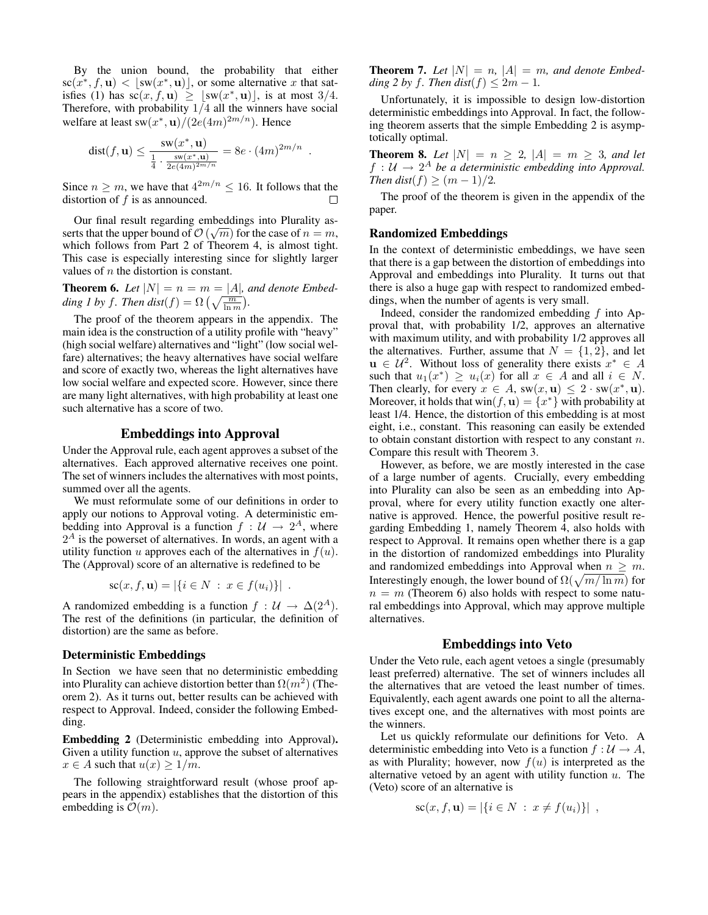By the union bound, the probability that either  $\operatorname{sc}(x^*, f, \mathbf{u}) < \lfloor \operatorname{sw}(x^*, \mathbf{u}) \rfloor$ , or some alternative x that satisfies (1) has  $s\bar{c}(x, f, u) \geq |sw(x^*, u)|$ , is at most 3/4. Therefore, with probability  $1/4$  all the winners have social welfare at least sw $(x^*, \mathbf{u})/(2e(4m)^{2m/n})$ . Hence

$$
\text{dist}(f, \mathbf{u}) \le \frac{\text{sw}(x^*, \mathbf{u})}{\frac{1}{4} \cdot \frac{\text{sw}(x^*, \mathbf{u})}{2e(4m)^{2m/n}}} = 8e \cdot (4m)^{2m/n}
$$

.

Since  $n \geq m$ , we have that  $4^{2m/n} \leq 16$ . It follows that the distortion of  $f$  is as announced. П

Our final result regarding embeddings into Plurality as-√ serts that the upper bound of  $\mathcal{O}\left(\sqrt{m}\right)$  for the case of  $n = m$ , which follows from Part 2 of Theorem 4, is almost tight. This case is especially interesting since for slightly larger values of n the distortion is constant.

**Theorem 6.** Let  $|N| = n = m = |A|$ , and denote Embed*ding 1 by f. Then dist* $(f) = \Omega\left(\sqrt{\frac{m}{\ln m}}\right)$ .

The proof of the theorem appears in the appendix. The main idea is the construction of a utility profile with "heavy" (high social welfare) alternatives and "light" (low social welfare) alternatives; the heavy alternatives have social welfare and score of exactly two, whereas the light alternatives have low social welfare and expected score. However, since there are many light alternatives, with high probability at least one such alternative has a score of two.

# Embeddings into Approval

Under the Approval rule, each agent approves a subset of the alternatives. Each approved alternative receives one point. The set of winners includes the alternatives with most points, summed over all the agents.

We must reformulate some of our definitions in order to apply our notions to Approval voting. A deterministic embedding into Approval is a function  $f : \mathcal{U} \to 2^A$ , where  $2<sup>A</sup>$  is the powerset of alternatives. In words, an agent with a utility function u approves each of the alternatives in  $f(u)$ . The (Approval) score of an alternative is redefined to be

$$
sc(x, f, \mathbf{u}) = |\{i \in N : x \in f(u_i)\}|.
$$

A randomized embedding is a function  $f : \mathcal{U} \to \Delta(2^A)$ . The rest of the definitions (in particular, the definition of distortion) are the same as before.

#### Deterministic Embeddings

In Section we have seen that no deterministic embedding into Plurality can achieve distortion better than  $\Omega(m^2)$  (Theorem 2). As it turns out, better results can be achieved with respect to Approval. Indeed, consider the following Embedding.

Embedding 2 (Deterministic embedding into Approval). Given a utility function  $u$ , approve the subset of alternatives  $x \in A$  such that  $u(x) \geq 1/m$ .

The following straightforward result (whose proof appears in the appendix) establishes that the distortion of this embedding is  $\mathcal{O}(m)$ .

**Theorem 7.** Let  $|N| = n$ ,  $|A| = m$ , and denote Embed*ding 2 by f. Then dist* $(f) \leq 2m - 1$ *.* 

Unfortunately, it is impossible to design low-distortion deterministic embeddings into Approval. In fact, the following theorem asserts that the simple Embedding 2 is asymptotically optimal.

**Theorem 8.** Let  $|N| = n \geq 2$ ,  $|A| = m \geq 3$ , and let  $f: \mathcal{U} \to 2^A$  be a deterministic embedding into Approval. *Then dist*(*f*)  $\geq$   $(m - 1)/2$ *.* 

The proof of the theorem is given in the appendix of the paper.

#### Randomized Embeddings

In the context of deterministic embeddings, we have seen that there is a gap between the distortion of embeddings into Approval and embeddings into Plurality. It turns out that there is also a huge gap with respect to randomized embeddings, when the number of agents is very small.

Indeed, consider the randomized embedding f into Approval that, with probability 1/2, approves an alternative with maximum utility, and with probability 1/2 approves all the alternatives. Further, assume that  $N = \{1, 2\}$ , and let  $u \in \mathcal{U}^2$ . Without loss of generality there exists  $x^* \in A$ such that  $u_1(x^*) \geq u_i(x)$  for all  $x \in A$  and all  $i \in N$ . Then clearly, for every  $x \in A$ ,  $sw(x, u) \le 2 \cdot sw(x^*, u)$ . Moreover, it holds that  $\text{win}(f, \mathbf{u}) = \{x^*\}$  with probability at least 1/4. Hence, the distortion of this embedding is at most eight, i.e., constant. This reasoning can easily be extended to obtain constant distortion with respect to any constant  $n$ . Compare this result with Theorem 3.

However, as before, we are mostly interested in the case of a large number of agents. Crucially, every embedding into Plurality can also be seen as an embedding into Approval, where for every utility function exactly one alternative is approved. Hence, the powerful positive result regarding Embedding 1, namely Theorem 4, also holds with respect to Approval. It remains open whether there is a gap in the distortion of randomized embeddings into Plurality and randomized embeddings into Approval when  $n \geq m$ . Interestingly enough, the lower bound of  $\Omega(\sqrt{m/\ln m})$  for  $n = m$  (Theorem 6) also holds with respect to some natural embeddings into Approval, which may approve multiple alternatives.

#### Embeddings into Veto

Under the Veto rule, each agent vetoes a single (presumably least preferred) alternative. The set of winners includes all the alternatives that are vetoed the least number of times. Equivalently, each agent awards one point to all the alternatives except one, and the alternatives with most points are the winners.

Let us quickly reformulate our definitions for Veto. A deterministic embedding into Veto is a function  $f : \mathcal{U} \to A$ , as with Plurality; however, now  $f(u)$  is interpreted as the alternative vetoed by an agent with utility function  $u$ . The (Veto) score of an alternative is

$$
sc(x, f, \mathbf{u}) = |\{i \in N : x \neq f(u_i)\}|,
$$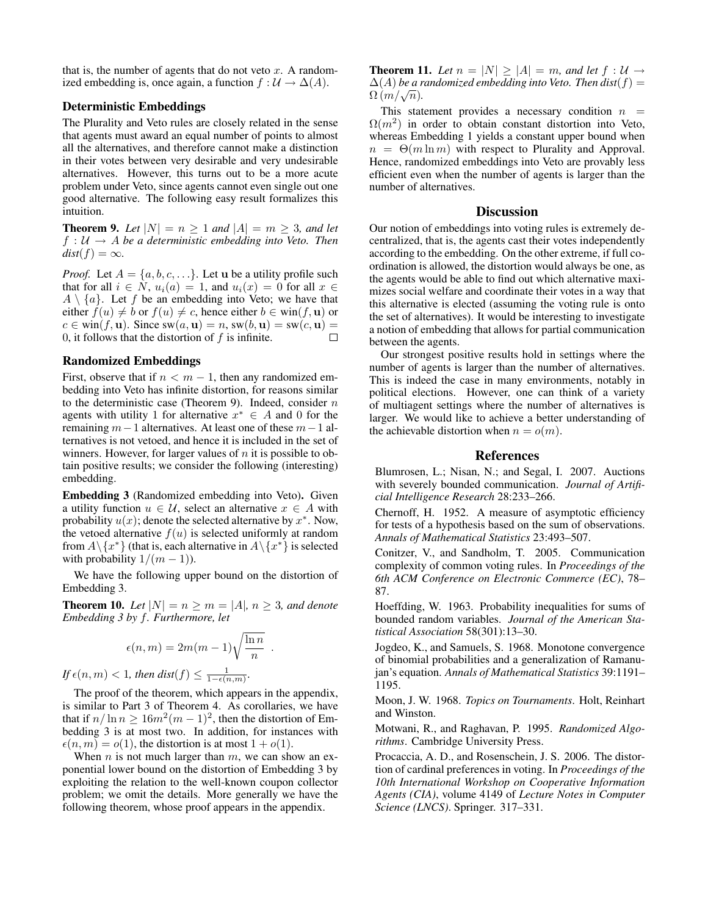that is, the number of agents that do not veto  $x$ . A randomized embedding is, once again, a function  $f : \mathcal{U} \to \Delta(A)$ .

# Deterministic Embeddings

The Plurality and Veto rules are closely related in the sense that agents must award an equal number of points to almost all the alternatives, and therefore cannot make a distinction in their votes between very desirable and very undesirable alternatives. However, this turns out to be a more acute problem under Veto, since agents cannot even single out one good alternative. The following easy result formalizes this intuition.

**Theorem 9.** Let  $|N| = n \geq 1$  and  $|A| = m \geq 3$ , and let  $f: U \rightarrow A$  *be a deterministic embedding into Veto. Then*  $dist(f) = \infty$ *.* 

*Proof.* Let  $A = \{a, b, c, ...\}$ . Let **u** be a utility profile such that for all  $i \in N$ ,  $u_i(a) = 1$ , and  $u_i(x) = 0$  for all  $x \in$  $A \setminus \{a\}$ . Let f be an embedding into Veto; we have that either  $f(u) \neq b$  or  $f(u) \neq c$ , hence either  $b \in \text{win}(f, \mathbf{u})$  or  $c \in \text{win}(f, \mathbf{u})$ . Since  $\text{sw}(a, \mathbf{u}) = n$ ,  $\text{sw}(b, \mathbf{u}) = \text{sw}(c, \mathbf{u}) =$ 0, it follows that the distortion of  $f$  is infinite.  $\Box$ 

## Randomized Embeddings

First, observe that if  $n < m - 1$ , then any randomized embedding into Veto has infinite distortion, for reasons similar to the deterministic case (Theorem 9). Indeed, consider  $n$ agents with utility 1 for alternative  $x^* \in A$  and 0 for the remaining  $m-1$  alternatives. At least one of these  $m-1$  alternatives is not vetoed, and hence it is included in the set of winners. However, for larger values of  $n$  it is possible to obtain positive results; we consider the following (interesting) embedding.

Embedding 3 (Randomized embedding into Veto). Given a utility function  $u \in \mathcal{U}$ , select an alternative  $x \in A$  with probability  $u(x)$ ; denote the selected alternative by  $x^*$ . Now, the vetoed alternative  $f(u)$  is selected uniformly at random from  $A \setminus \{x^*\}$  (that is, each alternative in  $A \setminus \{x^*\}$  is selected with probability  $1/(m-1)$ ).

We have the following upper bound on the distortion of Embedding 3.

**Theorem 10.** Let  $|N| = n \ge m = |A|, n \ge 3$ , and denote *Embedding 3 by* f*. Furthermore, let*

.

$$
\epsilon(n,m) = 2m(m-1)\sqrt{\frac{\ln n}{n}}
$$

*If*  $\epsilon(n,m) < 1$ *, then dist* $(f) \leq \frac{1}{1-\epsilon(n,m)}$ *.* 

The proof of the theorem, which appears in the appendix, is similar to Part 3 of Theorem 4. As corollaries, we have that if  $n/\ln n \ge 16m^2(m-1)^2$ , then the distortion of Embedding 3 is at most two. In addition, for instances with  $\epsilon(n, m) = o(1)$ , the distortion is at most  $1 + o(1)$ .

When  $n$  is not much larger than  $m$ , we can show an exponential lower bound on the distortion of Embedding 3 by exploiting the relation to the well-known coupon collector problem; we omit the details. More generally we have the following theorem, whose proof appears in the appendix.

**Theorem 11.** Let  $n = |N| \ge |A| = m$ , and let  $f : U \rightarrow$  $\Delta(A)$  *be a randomized embedding into Veto. Then dist*( $f$ ) =  $\frac{\Delta(A) \log a}{\Omega(m/\sqrt{n})}.$ 

This statement provides a necessary condition  $n =$  $\Omega(m^2)$  in order to obtain constant distortion into Veto, whereas Embedding 1 yields a constant upper bound when  $n = \Theta(m \ln m)$  with respect to Plurality and Approval. Hence, randomized embeddings into Veto are provably less efficient even when the number of agents is larger than the number of alternatives.

## **Discussion**

Our notion of embeddings into voting rules is extremely decentralized, that is, the agents cast their votes independently according to the embedding. On the other extreme, if full coordination is allowed, the distortion would always be one, as the agents would be able to find out which alternative maximizes social welfare and coordinate their votes in a way that this alternative is elected (assuming the voting rule is onto the set of alternatives). It would be interesting to investigate a notion of embedding that allows for partial communication between the agents.

Our strongest positive results hold in settings where the number of agents is larger than the number of alternatives. This is indeed the case in many environments, notably in political elections. However, one can think of a variety of multiagent settings where the number of alternatives is larger. We would like to achieve a better understanding of the achievable distortion when  $n = o(m)$ .

## References

Blumrosen, L.; Nisan, N.; and Segal, I. 2007. Auctions with severely bounded communication. *Journal of Artificial Intelligence Research* 28:233–266.

Chernoff, H. 1952. A measure of asymptotic efficiency for tests of a hypothesis based on the sum of observations. *Annals of Mathematical Statistics* 23:493–507.

Conitzer, V., and Sandholm, T. 2005. Communication complexity of common voting rules. In *Proceedings of the 6th ACM Conference on Electronic Commerce (EC)*, 78– 87.

Hoeffding, W. 1963. Probability inequalities for sums of bounded random variables. *Journal of the American Statistical Association* 58(301):13–30.

Jogdeo, K., and Samuels, S. 1968. Monotone convergence of binomial probabilities and a generalization of Ramanujan's equation. *Annals of Mathematical Statistics* 39:1191– 1195.

Moon, J. W. 1968. *Topics on Tournaments*. Holt, Reinhart and Winston.

Motwani, R., and Raghavan, P. 1995. *Randomized Algorithms*. Cambridge University Press.

Procaccia, A. D., and Rosenschein, J. S. 2006. The distortion of cardinal preferences in voting. In *Proceedings of the 10th International Workshop on Cooperative Information Agents (CIA)*, volume 4149 of *Lecture Notes in Computer Science (LNCS)*. Springer. 317–331.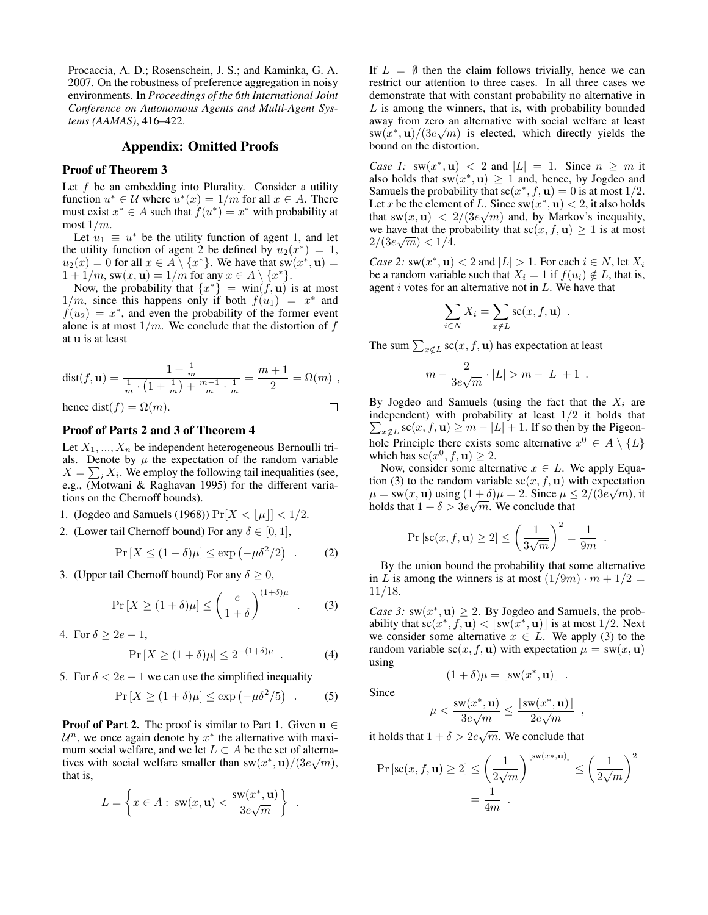Procaccia, A. D.; Rosenschein, J. S.; and Kaminka, G. A. 2007. On the robustness of preference aggregation in noisy environments. In *Proceedings of the 6th International Joint Conference on Autonomous Agents and Multi-Agent Systems (AAMAS)*, 416–422.

# Appendix: Omitted Proofs

# Proof of Theorem 3

Let  $f$  be an embedding into Plurality. Consider a utility function  $u^* \in \mathcal{U}$  where  $u^*(x) = 1/m$  for all  $x \in A$ . There must exist  $x^* \in A$  such that  $f(u^*) = x^*$  with probability at most  $1/m$ .

Let  $u_1 \equiv u^*$  be the utility function of agent 1, and let the utility function of agent 2 be defined by  $u_2(x^*) = 1$ ,  $u_2(x) = 0$  for all  $x \in A \setminus \{x^*\}$ . We have that  $sw(x^*, \mathbf{u}) =$  $1 + 1/m$ , sw $(x, \mathbf{u}) = 1/m$  for any  $x \in A \setminus \{x^*\}.$ 

Now, the probability that  $\{x^*\} = \text{win}(\tilde{f}, \mathbf{u})$  is at most  $1/m$ , since this happens only if both  $f(u_1) = x^*$  and  $f(u_2) = x^*$ , and even the probability of the former event alone is at most  $1/m$ . We conclude that the distortion of f at u is at least

$$
dist(f, \mathbf{u}) = \frac{1 + \frac{1}{m}}{1 + \frac{1}{m} \cdot (1 + \frac{1}{m}) + \frac{m-1}{m} \cdot \frac{1}{m}} = \frac{m+1}{2} = \Omega(m) ,
$$
  
hence  $dist(f) = \Omega(m).$ 

## Proof of Parts 2 and 3 of Theorem 4

Let  $X_1, ..., X_n$  be independent heterogeneous Bernoulli trials. Denote by  $\mu$  the expectation of the random variable  $X = \sum_i X_i$ . We employ the following tail inequalities (see, e.g., (Motwani & Raghavan 1995) for the different variations on the Chernoff bounds).

1. (Jogdeo and Samuels (1968))  $Pr[X < |\mu|] < 1/2$ .

2. (Lower tail Chernoff bound) For any 
$$
\delta \in [0,1]
$$
,

$$
\Pr\left[X \le (1 - \delta)\mu\right] \le \exp\left(-\mu\delta^2/2\right) \quad . \tag{2}
$$

3. (Upper tail Chernoff bound) For any  $\delta \geq 0$ ,

$$
\Pr\left[X \ge (1+\delta)\mu\right] \le \left(\frac{e}{1+\delta}\right)^{(1+\delta)\mu} . \tag{3}
$$

4. For  $\delta > 2e - 1$ ,

$$
\Pr\left[X \ge (1+\delta)\mu\right] \le 2^{-(1+\delta)\mu} \quad . \tag{4}
$$

5. For  $\delta < 2e - 1$  we can use the simplified inequality

$$
\Pr\left[X \ge (1+\delta)\mu\right] \le \exp\left(-\mu\delta^2/5\right) \quad . \tag{5}
$$

**Proof of Part 2.** The proof is similar to Part 1. Given  $u \in$  $\mathcal{U}^n$ , we once again denote by  $x^*$  the alternative with maximum social welfare, and we let  $L \subset A$  be the set of alternatives with social welfare smaller than  $sw(x^*, u)/(3e\sqrt{m})$ , that is,

$$
L = \left\{ x \in A : \text{sw}(x, \mathbf{u}) < \frac{\text{sw}(x^*, \mathbf{u})}{3e\sqrt{m}} \right\} .
$$

If  $L = \emptyset$  then the claim follows trivially, hence we can restrict our attention to three cases. In all three cases we demonstrate that with constant probability no alternative in  $L$  is among the winners, that is, with probability bounded away from zero an alternative with social welfare at least  $\frac{\text{sw}(x^*, \mathbf{u})}{(3e\sqrt{m})}$  is elected, which directly yields the bound on the distortion.

*Case 1:*  $sw(x^*, u) < 2$  and  $|L| = 1$ . Since  $n \geq m$  it also holds that  $sw(x^*, u) \ge 1$  and, hence, by Jogdeo and Samuels the probability that  $sc(x^*, f, \mathbf{u}) = 0$  is at most 1/2. Let x be the element of L. Since  $sw(x^*, u) < 2$ , it also holds that sw $(x, \mathbf{u}) < 2/(3e\sqrt{m})$  and, by Markov's inequality, we have that the probability that  $\operatorname{sc}(x, f, \mathbf{u}) \geq 1$  is at most  $2/(3e\sqrt{m}) < 1/4.$ 

*Case 2:*  $sw(x^*, u) < 2$  and  $|L| > 1$ . For each  $i \in N$ , let  $X_i$ be a random variable such that  $X_i = 1$  if  $f(u_i) \notin L$ , that is, agent  $i$  votes for an alternative not in  $L$ . We have that

$$
\sum_{i \in N} X_i = \sum_{x \notin L} \operatorname{sc}(x, f, \mathbf{u}) \enspace .
$$

The sum  $\sum_{x \notin L}$  sc $(x, f, \mathbf{u})$  has expectation at least

$$
m - \frac{2}{3e\sqrt{m}} \cdot |L| > m - |L| + 1.
$$

By Jogdeo and Samuels (using the fact that the  $X_i$  are independent) with probability at least  $1/2$  it holds that  $\sum_{x \notin L}$  sc $(x, f, \mathbf{u}) \ge m - |L| + 1$ . If so then by the Pigeonhole Principle there exists some alternative  $x^0 \in A \setminus \{L\}$ which has  $\mathrm{sc}(x^0, f, \mathbf{u}) \geq 2$ .

Now, consider some alternative  $x \in L$ . We apply Equation (3) to the random variable  $\operatorname{sc}(x, f, \mathbf{u})$  with expectation  $\mu = \text{sw}(x, \mathbf{u})$  using  $(1 + \delta)\mu = 2$ . Since  $\mu \leq 2/(3e\sqrt{m})$ , it holds that  $1 + \delta > 3e\sqrt{m}$ . We conclude that

$$
\Pr\left[\operatorname{sc}(x, f, \mathbf{u}) \ge 2\right] \le \left(\frac{1}{3\sqrt{m}}\right)^2 = \frac{1}{9m}
$$

.

By the union bound the probability that some alternative in L is among the winners is at most  $(1/9m) \cdot m + 1/2 =$ 11/18.

*Case 3:*  $sw(x^*, u) \geq 2$ . By Jogdeo and Samuels, the probability that  $\mathrm{sc}(x^*, f, \mathbf{u}) < [\mathrm{sw}(x^*, \mathbf{u})]$  is at most 1/2. Next we consider some alternative  $x \in L$ . We apply (3) to the random variable  $sc(x, f, u)$  with expectation  $\mu = sw(x, u)$ using

$$
(1+\delta)\mu = [\mathrm{sw}(x^*,\mathbf{u})] .
$$

$$
u < \frac{\mathrm{sw}(x^*, \mathbf{u})}{\mathrm{sw}(x^*, \mathbf{u})} < \frac{\mathrm{v}(x^*, \mathbf{u})}{\mathrm{sw}(x^*, \mathbf{u})}
$$

Since

$$
\mu < \frac{\mathrm{sw}(x^*, \mathbf{u})}{3e\sqrt{m}} \le \frac{\lfloor \mathrm{sw}(x^*, \mathbf{u}) \rfloor}{2e\sqrt{m}} ,
$$

it holds that  $1 + \delta > 2e\sqrt{m}$ . We conclude that

$$
\Pr\left[\operatorname{sc}(x, f, \mathbf{u}) \ge 2\right] \le \left(\frac{1}{2\sqrt{m}}\right)^{\lfloor \operatorname{sw}(x*, \mathbf{u}) \rfloor} \le \left(\frac{1}{2\sqrt{m}}\right)^2
$$

$$
= \frac{1}{4m}.
$$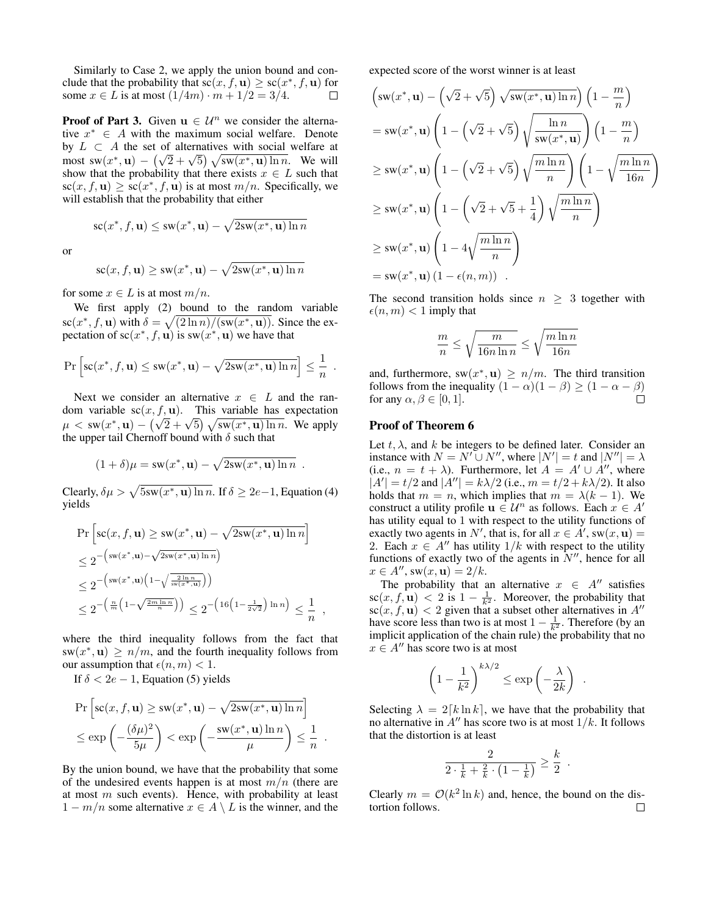Similarly to Case 2, we apply the union bound and conclude that the probability that  $\operatorname{sc}(x, f, \mathbf{u}) \geq \operatorname{sc}(x^*, f, \mathbf{u})$  for some  $x \in L$  is at most  $(1/4m) \cdot m + 1/2 = 3/4$ .  $\Box$ 

**Proof of Part 3.** Given  $u \in \mathcal{U}^n$  we consider the alternative  $x^* \in A$  with the maximum social welfare. Denote by  $L \subset A$  the set of alternatives with social welfare at by  $L \subseteq A$  the set of alternatives with social wellare at most  $sw(x^*, u) - (\sqrt{2} + \sqrt{5}) \sqrt{sw(x^*, u) \ln n}$ . We will show that the probability that there exists  $x \in L$  such that  $\operatorname{sc}(x, f, \mathbf{u}) \geq \operatorname{sc}(x^*, f, \mathbf{u})$  is at most  $m/n$ . Specifically, we will establish that the probability that either

$$
sc(x^*, f, \mathbf{u}) \le sw(x^*, \mathbf{u}) - \sqrt{2sw(x^*, \mathbf{u})\ln n}
$$

or

$$
sc(x, f, \mathbf{u}) \ge sw(x^*, \mathbf{u}) - \sqrt{2sw(x^*, \mathbf{u}) \ln n}
$$

for some  $x \in L$  is at most  $m/n$ .

We first apply (2) bound to the random variable  $\operatorname{sc}(x^*, f, \mathbf{u})$  with  $\delta = \sqrt{\frac{2 \ln n}{s(x^*, \mathbf{u})}}$ . Since the expectation of  $sc(x^*, f, \mathbf{u})$  is  $sw(x^*, \mathbf{u})$  we have that

$$
\Pr\left[\mathrm{sc}(x^*, f, \mathbf{u}) \le \mathrm{sw}(x^*, \mathbf{u}) - \sqrt{2\mathrm{sw}(x^*, \mathbf{u})\ln n}\right] \le \frac{1}{n}.
$$

Next we consider an alternative  $x \in L$  and the random variable  $\operatorname{sc}(x, f, \mathbf{u})$ . This variable has expectation Notify variable set  $(x, f, \mathbf{u})$ . This variable has expectation  $\mu <$  sw $(x^*, \mathbf{u}) - (\sqrt{2} + \sqrt{5}) \sqrt{\text{s}w(x^*, \mathbf{u}) \ln n}$ . We apply the upper tail Chernoff bound with  $\delta$  such that

$$
(1 + \delta)\mu = sw(x^*, \mathbf{u}) - \sqrt{2sw(x^*, \mathbf{u})\ln n} .
$$

Clearly,  $\delta \mu > \sqrt{5} \sin(x^*, \mathbf{u}) \ln n$ . If  $\delta \ge 2e-1$ , Equation (4) yields

$$
\Pr\left[\operatorname{sc}(x, f, \mathbf{u}) \ge \operatorname{sw}(x^*, \mathbf{u}) - \sqrt{2\operatorname{sw}(x^*, \mathbf{u})\ln n}\right]
$$
  
\n
$$
\le 2^{-\left(\operatorname{sw}(x^*, \mathbf{u}) - \sqrt{2\operatorname{sw}(x^*, \mathbf{u})\ln n}\right)}
$$
  
\n
$$
\le 2^{-\left(\operatorname{sw}(x^*, \mathbf{u})\left(1 - \sqrt{\frac{2\ln n}{\operatorname{sw}(x^*, \mathbf{u})}}\right)\right)}
$$
  
\n
$$
\le 2^{-\left(\frac{n}{m}\left(1 - \sqrt{\frac{2m\ln n}{n}}\right)\right)} \le 2^{-\left(16\left(1 - \frac{1}{2\sqrt{2}}\right)\ln n\right)} \le \frac{1}{n},
$$

where the third inequality follows from the fact that  $sw(x^*, u) \ge n/m$ , and the fourth inequality follows from our assumption that  $\epsilon(n, m) < 1$ .

If  $\delta < 2e - 1$ , Equation (5) yields

$$
\Pr\left[\operatorname{sc}(x, f, \mathbf{u}) \ge \operatorname{sw}(x^*, \mathbf{u}) - \sqrt{2\operatorname{sw}(x^*, \mathbf{u})\ln n}\right] \le \exp\left(-\frac{(\delta\mu)^2}{5\mu}\right) < \exp\left(-\frac{\operatorname{sw}(x^*, \mathbf{u})\ln n}{\mu}\right) \le \frac{1}{n} .
$$

By the union bound, we have that the probability that some of the undesired events happen is at most  $m/n$  (there are at most  $m$  such events). Hence, with probability at least  $1 - m/n$  some alternative  $x \in A \setminus L$  is the winner, and the expected score of the worst winner is at least

$$
\left(\operatorname{sw}(x^*, \mathbf{u}) - \left(\sqrt{2} + \sqrt{5}\right) \sqrt{\operatorname{sw}(x^*, \mathbf{u}) \ln n}\right) \left(1 - \frac{m}{n}\right)
$$
\n
$$
= \operatorname{sw}(x^*, \mathbf{u}) \left(1 - \left(\sqrt{2} + \sqrt{5}\right) \sqrt{\frac{\ln n}{\operatorname{sw}(x^*, \mathbf{u})}}\right) \left(1 - \frac{m}{n}\right)
$$
\n
$$
\geq \operatorname{sw}(x^*, \mathbf{u}) \left(1 - \left(\sqrt{2} + \sqrt{5}\right) \sqrt{\frac{m \ln n}{n}}\right) \left(1 - \sqrt{\frac{m \ln n}{16n}}\right)
$$
\n
$$
\geq \operatorname{sw}(x^*, \mathbf{u}) \left(1 - \left(\sqrt{2} + \sqrt{5} + \frac{1}{4}\right) \sqrt{\frac{m \ln n}{n}}\right)
$$
\n
$$
\geq \operatorname{sw}(x^*, \mathbf{u}) \left(1 - 4\sqrt{\frac{m \ln n}{n}}\right)
$$
\n
$$
= \operatorname{sw}(x^*, \mathbf{u}) \left(1 - \epsilon(n, m)\right) .
$$

The second transition holds since  $n \geq 3$  together with  $\epsilon(n, m) < 1$  imply that

$$
\frac{m}{n} \leq \sqrt{\frac{m}{16n\ln n}} \leq \sqrt{\frac{m\ln n}{16n}}
$$

and, furthermore,  $sw(x^*, u) \ge n/m$ . The third transition follows from the inequality  $(1 - \alpha)(1 - \beta) \ge (1 - \alpha - \beta)$ for any  $\alpha, \beta \in [0, 1]$ .  $\Box$ 

# Proof of Theorem 6

Let  $t, \lambda$ , and  $k$  be integers to be defined later. Consider an instance with  $N = N' \cup N''$ , where  $|N'| = t$  and  $|N''| = \lambda$ (i.e.,  $n = t + \lambda$ ). Furthermore, let  $A = A' \cup A''$ , where  $|A'| = t/2$  and  $|A''| = k\lambda/2$  (i.e.,  $m = t/2 + k\lambda/2$ ). It also holds that  $m = n$ , which implies that  $m = \lambda(k - 1)$ . We construct a utility profile  $u \in \mathcal{U}^n$  as follows. Each  $x \in A'$ has utility equal to 1 with respect to the utility functions of exactly two agents in N', that is, for all  $x \in A'$ , sw $(x, \mathbf{u}) =$ 2. Each  $x \in A''$  has utility  $1/k$  with respect to the utility functions of exactly two of the agents in  $N''$ , hence for all  $x \in A'', \text{sw}(x, \mathbf{u}) = 2/k.$ 

The probability that an alternative  $x \in A''$  satisfies  $\operatorname{sc}(x, f, \mathbf{u}) < 2$  is  $1 - \frac{1}{k^2}$ . Moreover, the probability that  $\operatorname{sc}(x, f, \mathbf{u})$  < 2 given that a subset other alternatives in A'' have score less than two is at most  $1 - \frac{1}{k^2}$ . Therefore (by an implicit application of the chain rule) the probability that no  $x \in A''$  has score two is at most

$$
\left(1 - \frac{1}{k^2}\right)^{k\lambda/2} \le \exp\left(-\frac{\lambda}{2k}\right) .
$$

Selecting  $\lambda = 2[k \ln k]$ , we have that the probability that no alternative in  $A''$  has score two is at most  $1/k$ . It follows that the distortion is at least

$$
\frac{2}{2 \cdot \frac{1}{k} + \frac{2}{k} \cdot \left(1 - \frac{1}{k}\right)} \ge \frac{k}{2} .
$$

Clearly  $m = \mathcal{O}(k^2 \ln k)$  and, hence, the bound on the distortion follows. $\Box$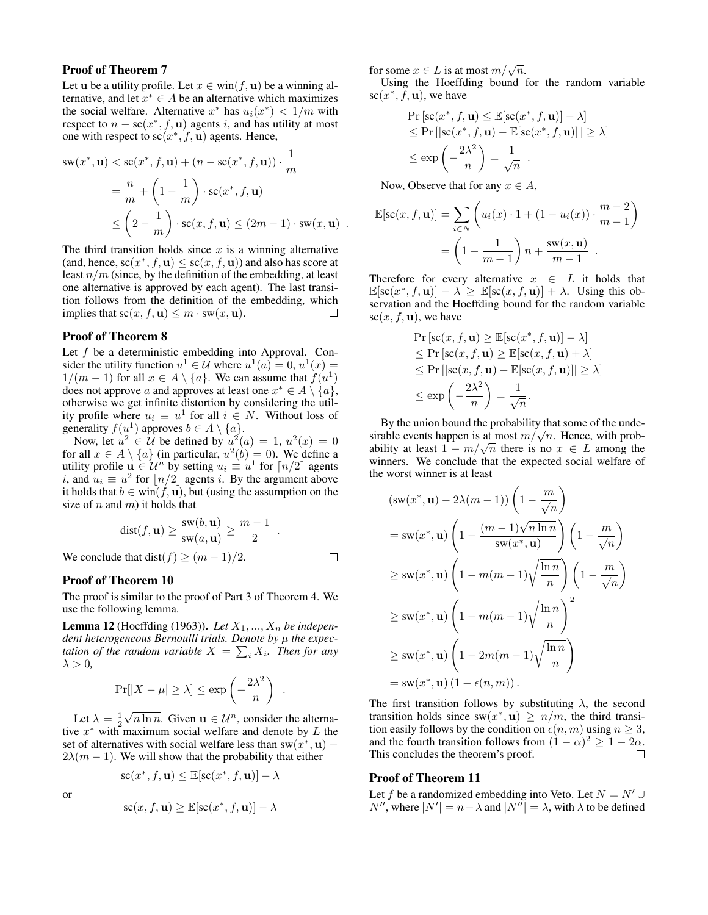# Proof of Theorem 7

Let u be a utility profile. Let  $x \in \text{win}(f, \mathbf{u})$  be a winning alternative, and let  $x^* \in A$  be an alternative which maximizes the social welfare. Alternative  $x^*$  has  $u_i(x^*) < 1/m$  with respect to  $n - \text{sc}(x^*, f, \mathbf{u})$  agents i, and has utility at most one with respect to  $sc(x^*, f, \mathbf{u})$  agents. Hence,

$$
sw(x^*, \mathbf{u}) < sc(x^*, f, \mathbf{u}) + (n - sc(x^*, f, \mathbf{u})) \cdot \frac{1}{m}
$$
  
=  $\frac{n}{m} + \left(1 - \frac{1}{m}\right) \cdot sc(x^*, f, \mathbf{u})$   
 $\leq \left(2 - \frac{1}{m}\right) \cdot sc(x, f, \mathbf{u}) \leq (2m - 1) \cdot sw(x, \mathbf{u})$ .

The third transition holds since  $x$  is a winning alternative (and, hence,  $sc(x^*, f, \mathbf{u}) \leq sc(x, f, \mathbf{u})$ ) and also has score at least  $n/m$  (since, by the definition of the embedding, at least one alternative is approved by each agent). The last transition follows from the definition of the embedding, which implies that  $sc(x, f, \mathbf{u}) \leq m \cdot sw(x, \mathbf{u})$ .  $\Box$ 

# Proof of Theorem 8

Let  $f$  be a deterministic embedding into Approval. Consider the utility function  $u^1 \in \mathcal{U}$  where  $u^1(a) = 0$ ,  $u^1(x) =$  $1/(m-1)$  for all  $x \in A \setminus \{a\}$ . We can assume that  $f(u^1)$ does not approve a and approves at least one  $x^* \in A \setminus \{a\}$ , otherwise we get infinite distortion by considering the utility profile where  $u_i \equiv u^1$  for all  $i \in N$ . Without loss of generality  $f(u^1)$  approves  $b \in A \setminus \{a\}.$ 

Now, let  $u^2 \in \mathcal{U}$  be defined by  $u^2(a) = 1$ ,  $u^2(x) = 0$ for all  $x \in A \setminus \{a\}$  (in particular,  $u^2(b) = 0$ ). We define a utility profile  $\mathbf{u} \in \mathcal{U}^n$  by setting  $u_i \equiv u^1$  for  $\lceil n/2 \rceil$  agents *i*, and  $u_i \equiv u^2$  for  $\lfloor n/2 \rfloor$  agents *i*. By the argument above it holds that  $b \in \text{win}(f, \mathbf{u})$ , but (using the assumption on the size of  $n$  and  $m$ ) it holds that

$$
dist(f, \mathbf{u}) \ge \frac{sw(b, \mathbf{u})}{sw(a, \mathbf{u})} \ge \frac{m-1}{2} .
$$

 $\Box$ 

We conclude that dist(f)  $\geq$   $(m-1)/2$ .

## Proof of Theorem 10

The proof is similar to the proof of Part 3 of Theorem 4. We use the following lemma.

**Lemma 12** (Hoeffding (1963)). Let  $X_1, ..., X_n$  be indepen*dent heterogeneous Bernoulli trials. Denote by μ the expectation of the random variable*  $X = \sum_i X_i$ *. Then for any*  $\lambda > 0$ ,

$$
\Pr[|X - \mu| \ge \lambda] \le \exp\left(-\frac{2\lambda^2}{n}\right) .
$$

Let  $\lambda = \frac{1}{2}$  $\sqrt{n \ln n}$ . Given  $\mathbf{u} \in \mathcal{U}^n$ , consider the alternative  $x^*$  with maximum social welfare and denote by L the set of alternatives with social welfare less than  $sw(x^*, u)$  –  $2\lambda(m - 1)$ . We will show that the probability that either

$$
sc(x^*, f, \mathbf{u}) \le \mathbb{E}[sc(x^*, f, \mathbf{u})] - \lambda
$$

or

$$
sc(x, f, \mathbf{u}) \ge \mathbb{E}[sc(x^*, f, \mathbf{u})] - \lambda
$$

for some  $x \in L$  is at most  $m/\sqrt{n}$ .

Using the Hoeffding bound for the random variable sc $(x^*, \bar{f}, \mathbf{u})$ , we have

$$
\Pr\left[\operatorname{sc}(x^*, f, \mathbf{u}) \le \mathbb{E}[\operatorname{sc}(x^*, f, \mathbf{u})] - \lambda\right] \le \Pr\left[\left|\operatorname{sc}(x^*, f, \mathbf{u}) - \mathbb{E}[\operatorname{sc}(x^*, f, \mathbf{u})]\right| \ge \lambda\right] \le \exp\left(-\frac{2\lambda^2}{n}\right) = \frac{1}{\sqrt{n}}.
$$

Now, Observe that for any  $x \in A$ ,

$$
\mathbb{E}[\mathbf{sc}(x, f, \mathbf{u})] = \sum_{i \in N} \left( u_i(x) \cdot 1 + (1 - u_i(x)) \cdot \frac{m-2}{m-1} \right)
$$

$$
= \left( 1 - \frac{1}{m-1} \right) n + \frac{\mathbf{sw}(x, \mathbf{u})}{m-1} .
$$

Therefore for every alternative  $x \in L$  it holds that  $\mathbb{E}[\mathrm{sc}(x^*, f, \mathbf{u})] - \lambda \geq \mathbb{E}[\mathrm{sc}(x, f, \mathbf{u})] + \lambda$ . Using this observation and the Hoeffding bound for the random variable  $\mathrm{sc}(x, f, \mathbf{u})$ , we have

$$
\Pr\left[\mathrm{sc}(x, f, \mathbf{u}) \geq \mathbb{E}[\mathrm{sc}(x^*, f, \mathbf{u})] - \lambda\right] \n\leq \Pr\left[\mathrm{sc}(x, f, \mathbf{u}) \geq \mathbb{E}[\mathrm{sc}(x, f, \mathbf{u}) + \lambda] \right] \n\leq \Pr\left[\mathrm{sc}(x, f, \mathbf{u}) - \mathbb{E}[\mathrm{sc}(x, f, \mathbf{u})] \right| \geq \lambda] \n\leq \exp\left(-\frac{2\lambda^2}{n}\right) = \frac{1}{\sqrt{n}}.
$$

By the union bound the probability that some of the unde-By the union bound the probability that some of the undesirable events happen is at most  $m/\sqrt{n}$ . Hence, with probsirable events nappen is at most  $m/\sqrt{n}$ . Hence, with probability at least  $1 - m/\sqrt{n}$  there is no  $x \in L$  among the winners. We conclude that the expected social welfare of the worst winner is at least

$$
(\mathbf{sw}(x^*, \mathbf{u}) - 2\lambda(m-1)) \left(1 - \frac{m}{\sqrt{n}}\right)
$$
  
=  $\mathbf{sw}(x^*, \mathbf{u}) \left(1 - \frac{(m-1)\sqrt{n \ln n}}{\mathbf{sw}(x^*, \mathbf{u})}\right) \left(1 - \frac{m}{\sqrt{n}}\right)$   
 $\ge \mathbf{sw}(x^*, \mathbf{u}) \left(1 - m(m-1)\sqrt{\frac{\ln n}{n}}\right) \left(1 - \frac{m}{\sqrt{n}}\right)$   
 $\ge \mathbf{sw}(x^*, \mathbf{u}) \left(1 - m(m-1)\sqrt{\frac{\ln n}{n}}\right)^2$   
 $\ge \mathbf{sw}(x^*, \mathbf{u}) \left(1 - 2m(m-1)\sqrt{\frac{\ln n}{n}}\right)$   
=  $\mathbf{sw}(x^*, \mathbf{u}) (1 - \epsilon(n, m)).$ 

The first transition follows by substituting  $\lambda$ , the second transition holds since  $sw(x^*, \mathbf{u}) \ge n/m$ , the third transition easily follows by the condition on  $\epsilon(n, m)$  using  $n \geq 3$ , and the fourth transition follows from  $(1 - \alpha)^2 \geq 1 - 2\alpha$ . This concludes the theorem's proof.  $\Box$ 

#### Proof of Theorem 11

Let f be a randomized embedding into Veto. Let  $N = N' \cup$  $N''$ , where  $|N'| = n - \lambda$  and  $|N''| = \lambda$ , with  $\lambda$  to be defined